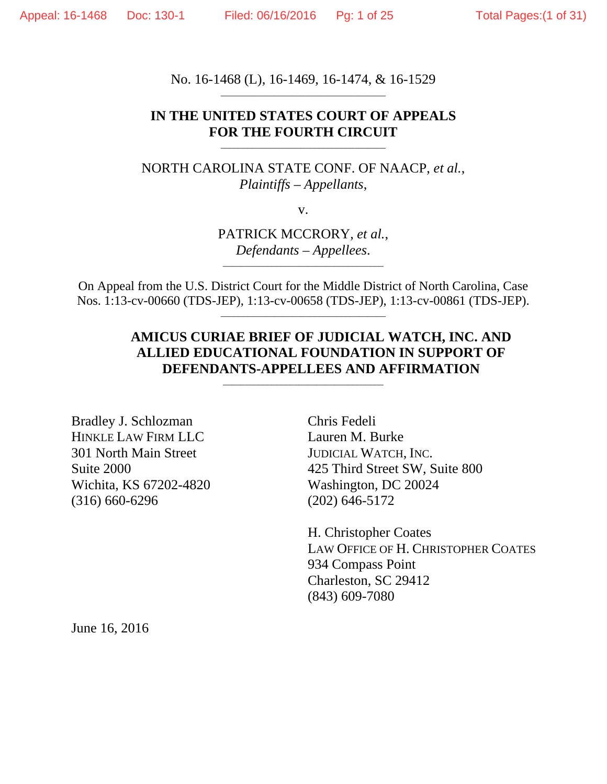No. 16-1468 (L), 16-1469, 16-1474, & 16-1529

## **IN THE UNITED STATES COURT OF APPEALS FOR THE FOURTH CIRCUIT**

\_\_\_\_\_\_\_\_\_\_\_\_\_\_\_\_\_\_\_\_\_\_\_\_\_\_\_\_\_\_\_\_\_\_\_\_\_

NORTH CAROLINA STATE CONF. OF NAACP, *et al.*, *Plaintiffs – Appellants*,

v.

PATRICK MCCRORY, *et al.*, *Defendants – Appellees.* 

On Appeal from the U.S. District Court for the Middle District of North Carolina, Case Nos. 1:13-cv-00660 (TDS-JEP), 1:13-cv-00658 (TDS-JEP), 1:13-cv-00861 (TDS-JEP).

\_\_\_\_\_\_\_\_\_\_\_\_\_\_\_\_\_\_\_\_\_\_\_\_\_\_\_\_\_\_\_\_\_\_\_\_

## **AMICUS CURIAE BRIEF OF JUDICIAL WATCH, INC. AND ALLIED EDUCATIONAL FOUNDATION IN SUPPORT OF DEFENDANTS-APPELLEES AND AFFIRMATION**

Bradley J. Schlozman HINKLE LAW FIRM LLC 301 North Main Street Suite 2000 Wichita, KS 67202-4820 (316) 660-6296

Chris Fedeli Lauren M. Burke JUDICIAL WATCH, INC. 425 Third Street SW, Suite 800 Washington, DC 20024 (202) 646-5172

H. Christopher Coates LAW OFFICE OF H. CHRISTOPHER COATES 934 Compass Point Charleston, SC 29412 (843) 609-7080

June 16, 2016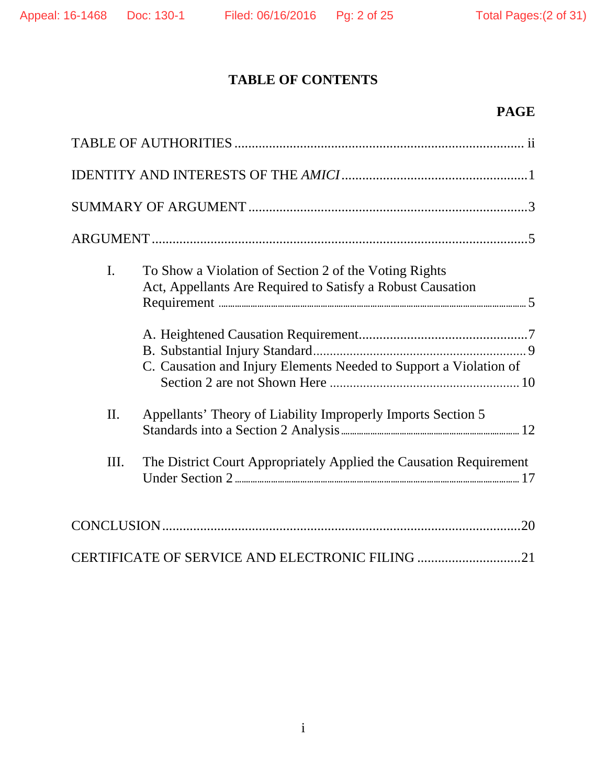# **TABLE OF CONTENTS**

# **PAGE**

| I.  | To Show a Violation of Section 2 of the Voting Rights<br>Act, Appellants Are Required to Satisfy a Robust Causation<br>C. Causation and Injury Elements Needed to Support a Violation of |
|-----|------------------------------------------------------------------------------------------------------------------------------------------------------------------------------------------|
| II. | Appellants' Theory of Liability Improperly Imports Section 5                                                                                                                             |
| Ш.  | The District Court Appropriately Applied the Causation Requirement                                                                                                                       |
|     |                                                                                                                                                                                          |
|     | CERTIFICATE OF SERVICE AND ELECTRONIC FILING 21                                                                                                                                          |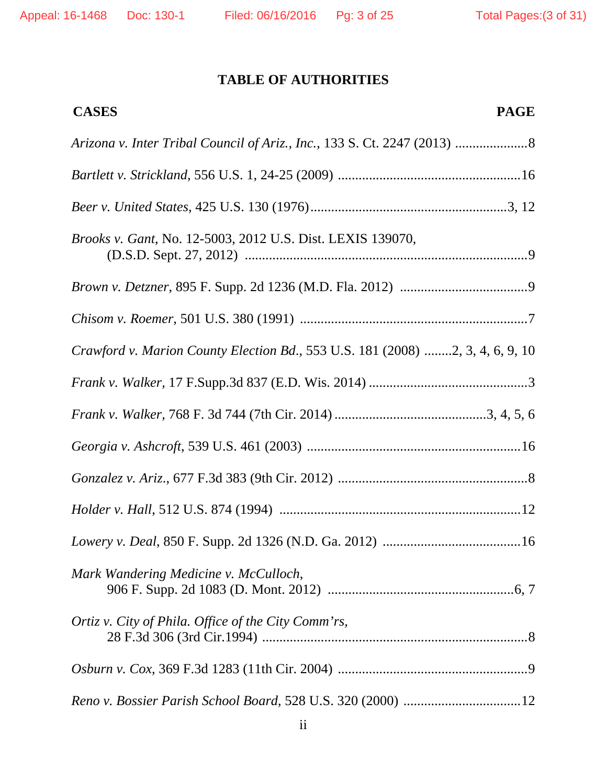# **TABLE OF AUTHORITIES**

| <b>CASES</b><br><b>PAGE</b>                                                   |
|-------------------------------------------------------------------------------|
|                                                                               |
|                                                                               |
|                                                                               |
| Brooks v. Gant, No. 12-5003, 2012 U.S. Dist. LEXIS 139070,                    |
|                                                                               |
|                                                                               |
| Crawford v. Marion County Election Bd., 553 U.S. 181 (2008) 2, 3, 4, 6, 9, 10 |
|                                                                               |
|                                                                               |
|                                                                               |
|                                                                               |
|                                                                               |
|                                                                               |
| Mark Wandering Medicine v. McCulloch,                                         |
| Ortiz v. City of Phila. Office of the City Comm'rs,                           |
|                                                                               |
|                                                                               |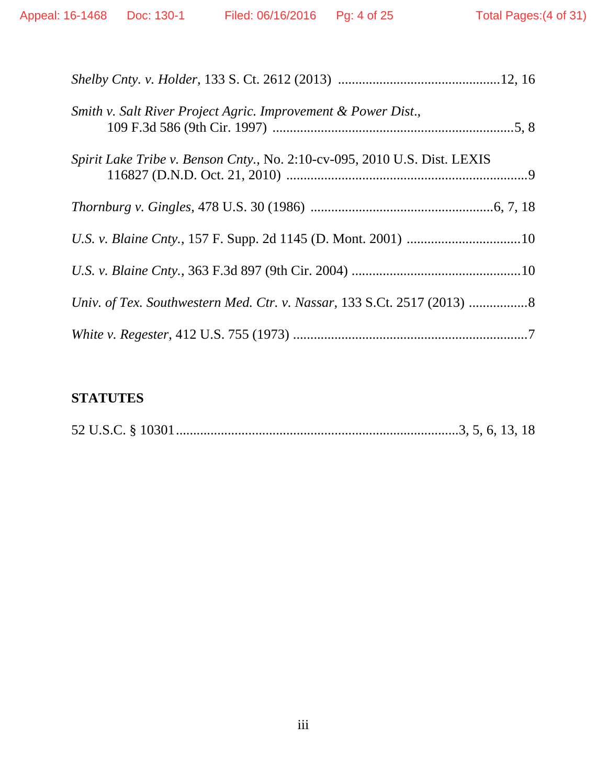| Smith v. Salt River Project Agric. Improvement & Power Dist.,             |
|---------------------------------------------------------------------------|
| Spirit Lake Tribe v. Benson Cnty., No. 2:10-cv-095, 2010 U.S. Dist. LEXIS |
|                                                                           |
|                                                                           |
|                                                                           |
|                                                                           |
|                                                                           |

# **STATUTES**

|--|--|--|--|--|--|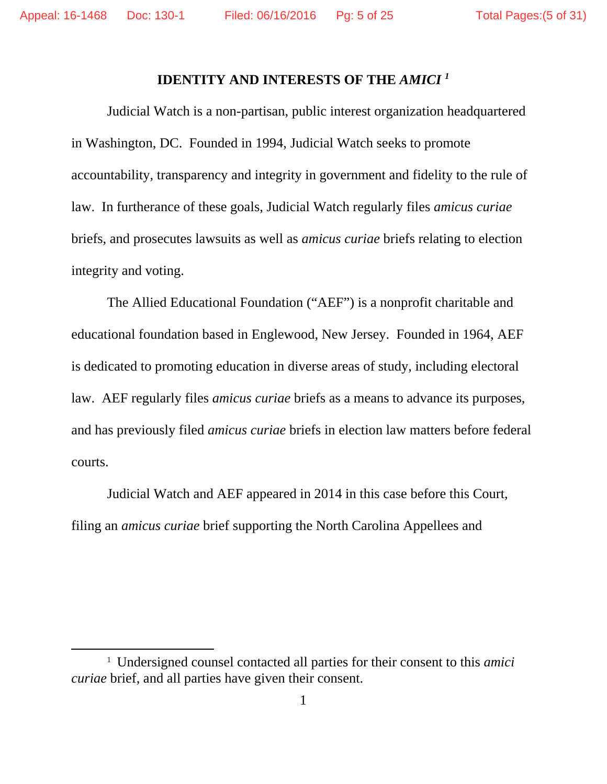### **IDENTITY AND INTERESTS OF THE** *AMICI 1*

Judicial Watch is a non-partisan, public interest organization headquartered in Washington, DC. Founded in 1994, Judicial Watch seeks to promote accountability, transparency and integrity in government and fidelity to the rule of law. In furtherance of these goals, Judicial Watch regularly files *amicus curiae* briefs, and prosecutes lawsuits as well as *amicus curiae* briefs relating to election integrity and voting.

The Allied Educational Foundation ("AEF") is a nonprofit charitable and educational foundation based in Englewood, New Jersey. Founded in 1964, AEF is dedicated to promoting education in diverse areas of study, including electoral law. AEF regularly files *amicus curiae* briefs as a means to advance its purposes, and has previously filed *amicus curiae* briefs in election law matters before federal courts.

Judicial Watch and AEF appeared in 2014 in this case before this Court, filing an *amicus curiae* brief supporting the North Carolina Appellees and

 

<sup>1</sup> Undersigned counsel contacted all parties for their consent to this *amici curiae* brief, and all parties have given their consent.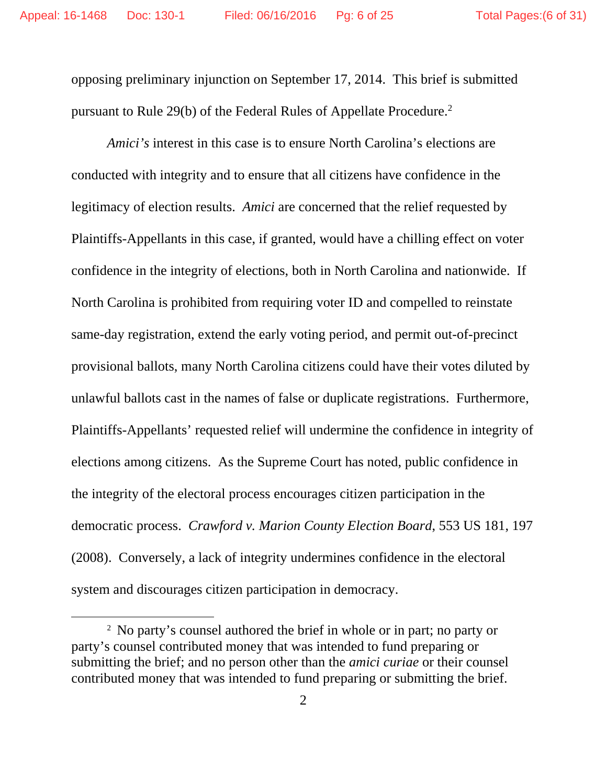opposing preliminary injunction on September 17, 2014. This brief is submitted pursuant to Rule 29(b) of the Federal Rules of Appellate Procedure.2

*Amici's* interest in this case is to ensure North Carolina's elections are conducted with integrity and to ensure that all citizens have confidence in the legitimacy of election results. *Amici* are concerned that the relief requested by Plaintiffs-Appellants in this case, if granted, would have a chilling effect on voter confidence in the integrity of elections, both in North Carolina and nationwide. If North Carolina is prohibited from requiring voter ID and compelled to reinstate same-day registration, extend the early voting period, and permit out-of-precinct provisional ballots, many North Carolina citizens could have their votes diluted by unlawful ballots cast in the names of false or duplicate registrations. Furthermore, Plaintiffs-Appellants' requested relief will undermine the confidence in integrity of elections among citizens. As the Supreme Court has noted, public confidence in the integrity of the electoral process encourages citizen participation in the democratic process. *Crawford v. Marion County Election Board*, 553 US 181, 197 (2008). Conversely, a lack of integrity undermines confidence in the electoral system and discourages citizen participation in democracy.

 

<sup>2</sup> No party's counsel authored the brief in whole or in part; no party or party's counsel contributed money that was intended to fund preparing or submitting the brief; and no person other than the *amici curiae* or their counsel contributed money that was intended to fund preparing or submitting the brief.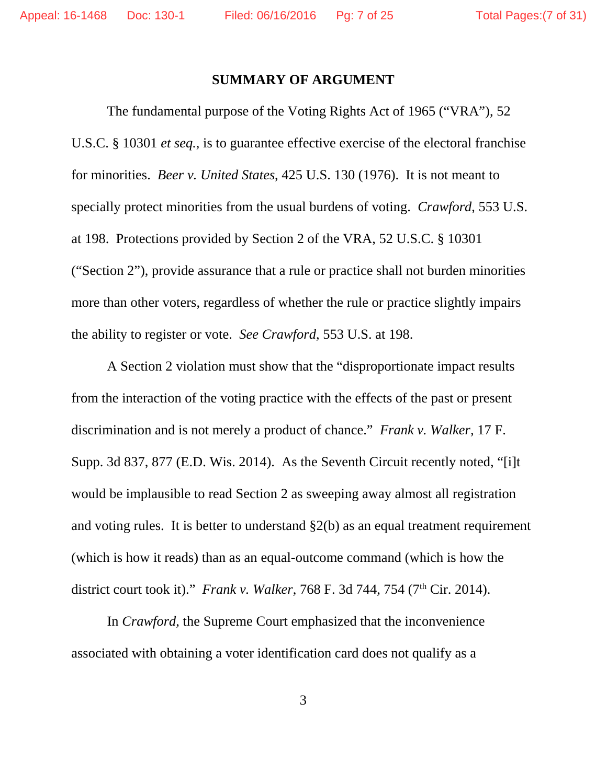### **SUMMARY OF ARGUMENT**

 The fundamental purpose of the Voting Rights Act of 1965 ("VRA"), 52 U.S.C. § 10301 *et seq.*, is to guarantee effective exercise of the electoral franchise for minorities. *Beer v. United States*, 425 U.S. 130 (1976). It is not meant to specially protect minorities from the usual burdens of voting. *Crawford*, 553 U.S. at 198. Protections provided by Section 2 of the VRA, 52 U.S.C. § 10301 ("Section 2"), provide assurance that a rule or practice shall not burden minorities more than other voters, regardless of whether the rule or practice slightly impairs the ability to register or vote. *See Crawford*, 553 U.S. at 198.

A Section 2 violation must show that the "disproportionate impact results from the interaction of the voting practice with the effects of the past or present discrimination and is not merely a product of chance." *Frank v. Walker,* 17 F. Supp. 3d 837, 877 (E.D. Wis. 2014). As the Seventh Circuit recently noted, "[i]t would be implausible to read Section 2 as sweeping away almost all registration and voting rules. It is better to understand §2(b) as an equal treatment requirement (which is how it reads) than as an equal-outcome command (which is how the district court took it)." *Frank v. Walker*, 768 F. 3d 744, 754 (7<sup>th</sup> Cir. 2014).

 In *Crawford*, the Supreme Court emphasized that the inconvenience associated with obtaining a voter identification card does not qualify as a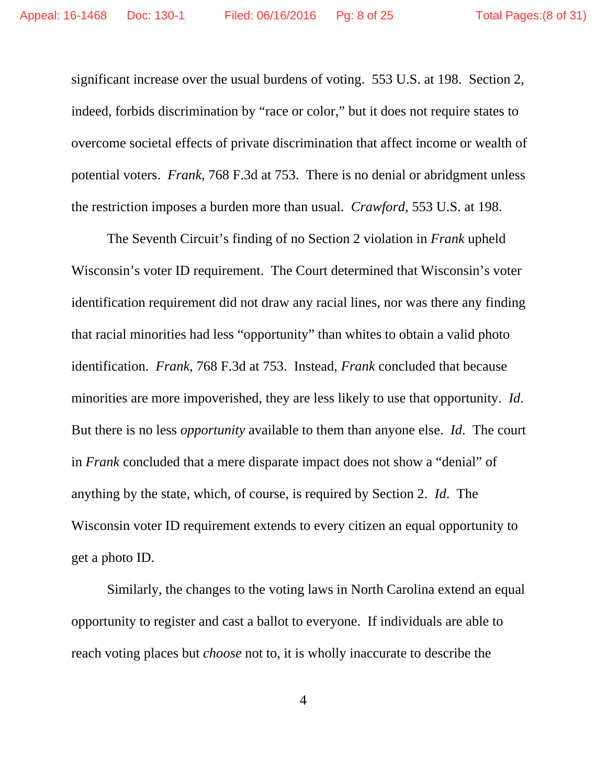significant increase over the usual burdens of voting. 553 U.S. at 198. Section 2, indeed, forbids discrimination by "race or color," but it does not require states to overcome societal effects of private discrimination that affect income or wealth of potential voters. *Frank*, 768 F.3d at 753. There is no denial or abridgment unless the restriction imposes a burden more than usual. *Crawford,* 553 U.S. at 198.

 The Seventh Circuit's finding of no Section 2 violation in *Frank* upheld Wisconsin's voter ID requirement. The Court determined that Wisconsin's voter identification requirement did not draw any racial lines, nor was there any finding that racial minorities had less "opportunity" than whites to obtain a valid photo identification. *Frank,* 768 F.3d at 753. Instead, *Frank* concluded that because minorities are more impoverished, they are less likely to use that opportunity. *Id*. But there is no less *opportunity* available to them than anyone else. *Id*. The court in *Frank* concluded that a mere disparate impact does not show a "denial" of anything by the state, which, of course, is required by Section 2. *Id*. The Wisconsin voter ID requirement extends to every citizen an equal opportunity to get a photo ID.

 Similarly, the changes to the voting laws in North Carolina extend an equal opportunity to register and cast a ballot to everyone. If individuals are able to reach voting places but *choose* not to, it is wholly inaccurate to describe the

4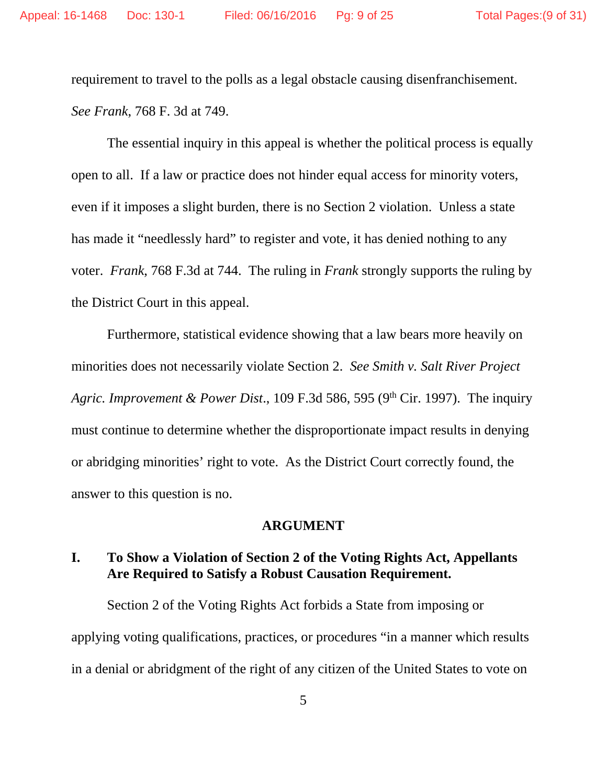requirement to travel to the polls as a legal obstacle causing disenfranchisement. *See Frank*, 768 F. 3d at 749.

The essential inquiry in this appeal is whether the political process is equally open to all. If a law or practice does not hinder equal access for minority voters, even if it imposes a slight burden, there is no Section 2 violation. Unless a state has made it "needlessly hard" to register and vote, it has denied nothing to any voter. *Frank*, 768 F.3d at 744. The ruling in *Frank* strongly supports the ruling by the District Court in this appeal.

 Furthermore, statistical evidence showing that a law bears more heavily on minorities does not necessarily violate Section 2. *See Smith v. Salt River Project Agric. Improvement & Power Dist*., 109 F.3d 586, 595 (9th Cir. 1997). The inquiry must continue to determine whether the disproportionate impact results in denying or abridging minorities' right to vote. As the District Court correctly found, the answer to this question is no.

### **ARGUMENT**

## **I. To Show a Violation of Section 2 of the Voting Rights Act, Appellants Are Required to Satisfy a Robust Causation Requirement.**

 Section 2 of the Voting Rights Act forbids a State from imposing or applying voting qualifications, practices, or procedures "in a manner which results in a denial or abridgment of the right of any citizen of the United States to vote on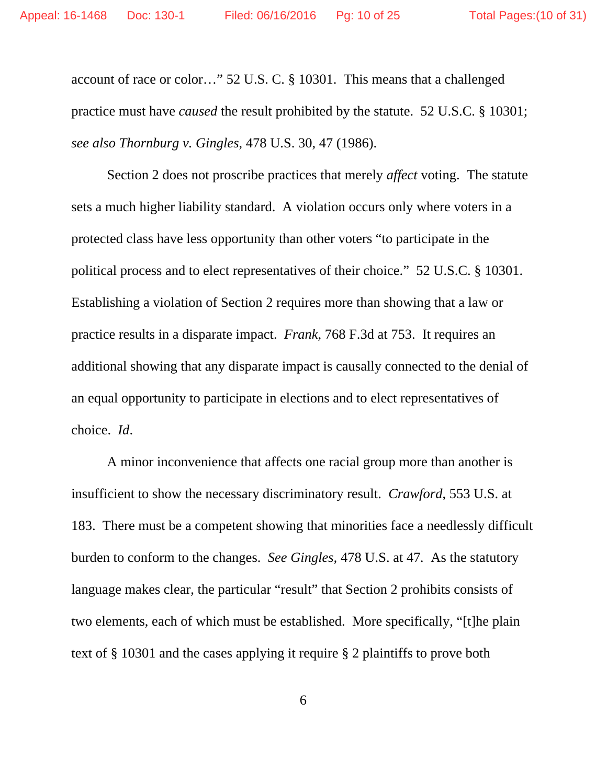account of race or color…" 52 U.S. C. § 10301. This means that a challenged practice must have *caused* the result prohibited by the statute. 52 U.S.C. § 10301; *see also Thornburg v. Gingles*, 478 U.S. 30, 47 (1986).

 Section 2 does not proscribe practices that merely *affect* voting. The statute sets a much higher liability standard. A violation occurs only where voters in a protected class have less opportunity than other voters "to participate in the political process and to elect representatives of their choice." 52 U.S.C. § 10301. Establishing a violation of Section 2 requires more than showing that a law or practice results in a disparate impact. *Frank*, 768 F.3d at 753. It requires an additional showing that any disparate impact is causally connected to the denial of an equal opportunity to participate in elections and to elect representatives of choice. *Id*.

 A minor inconvenience that affects one racial group more than another is insufficient to show the necessary discriminatory result. *Crawford*, 553 U.S. at 183. There must be a competent showing that minorities face a needlessly difficult burden to conform to the changes. *See Gingles,* 478 U.S. at 47*.* As the statutory language makes clear, the particular "result" that Section 2 prohibits consists of two elements, each of which must be established. More specifically, "[t]he plain text of § 10301 and the cases applying it require § 2 plaintiffs to prove both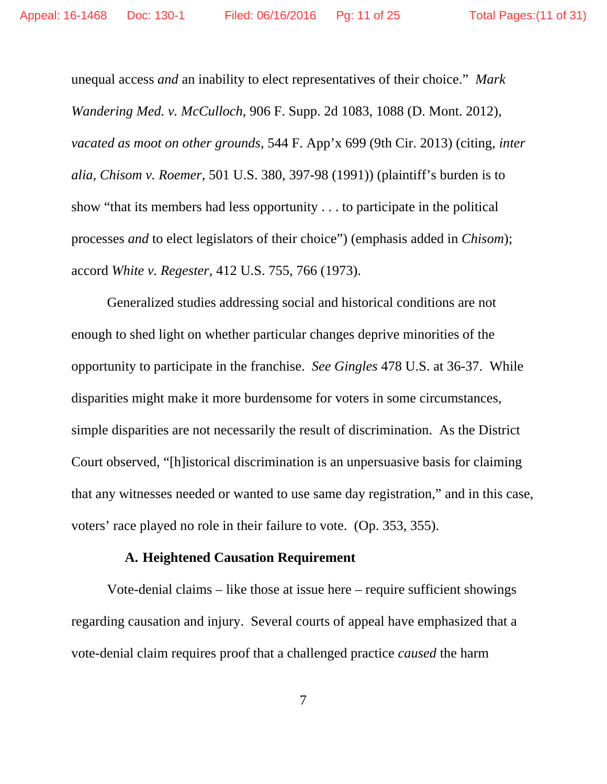unequal access *and* an inability to elect representatives of their choice." *Mark Wandering Med. v. McCulloch*, 906 F. Supp. 2d 1083, 1088 (D. Mont. 2012), *vacated as moot on other grounds*, 544 F. App'x 699 (9th Cir. 2013) (citing, *inter alia, Chisom v. Roemer*, 501 U.S. 380, 397-98 (1991)) (plaintiff's burden is to show "that its members had less opportunity . . . to participate in the political processes *and* to elect legislators of their choice") (emphasis added in *Chisom*); accord *White v. Regester*, 412 U.S. 755, 766 (1973).

 Generalized studies addressing social and historical conditions are not enough to shed light on whether particular changes deprive minorities of the opportunity to participate in the franchise. *See Gingles* 478 U.S. at 36-37. While disparities might make it more burdensome for voters in some circumstances, simple disparities are not necessarily the result of discrimination. As the District Court observed, "[h]istorical discrimination is an unpersuasive basis for claiming that any witnesses needed or wanted to use same day registration," and in this case, voters' race played no role in their failure to vote. (Op. 353, 355).

### **A. Heightened Causation Requirement**

 Vote-denial claims – like those at issue here – require sufficient showings regarding causation and injury. Several courts of appeal have emphasized that a vote-denial claim requires proof that a challenged practice *caused* the harm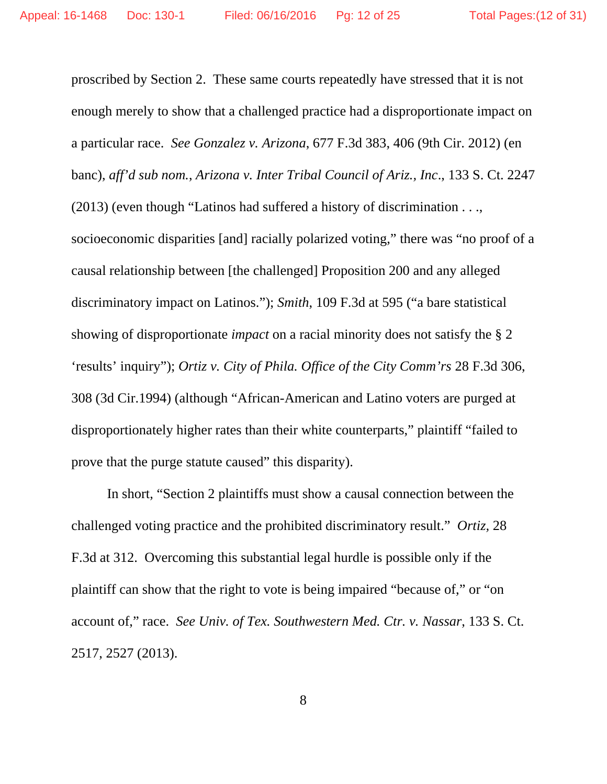proscribed by Section 2. These same courts repeatedly have stressed that it is not enough merely to show that a challenged practice had a disproportionate impact on a particular race. *See Gonzalez v. Arizona*, 677 F.3d 383, 406 (9th Cir. 2012) (en banc), *aff'd sub nom.*, *Arizona v. Inter Tribal Council of Ariz., Inc*., 133 S. Ct. 2247 (2013) (even though "Latinos had suffered a history of discrimination . . ., socioeconomic disparities [and] racially polarized voting," there was "no proof of a causal relationship between [the challenged] Proposition 200 and any alleged discriminatory impact on Latinos."); *Smith*, 109 F.3d at 595 ("a bare statistical showing of disproportionate *impact* on a racial minority does not satisfy the § 2 'results' inquiry"); *Ortiz v. City of Phila. Office of the City Comm'rs* 28 F.3d 306, 308 (3d Cir.1994) (although "African-American and Latino voters are purged at disproportionately higher rates than their white counterparts," plaintiff "failed to prove that the purge statute caused" this disparity).

In short, "Section 2 plaintiffs must show a causal connection between the challenged voting practice and the prohibited discriminatory result." *Ortiz,* 28 F.3d at 312. Overcoming this substantial legal hurdle is possible only if the plaintiff can show that the right to vote is being impaired "because of," or "on account of," race. *See Univ. of Tex. Southwestern Med. Ctr. v. Nassar*, 133 S. Ct. 2517, 2527 (2013).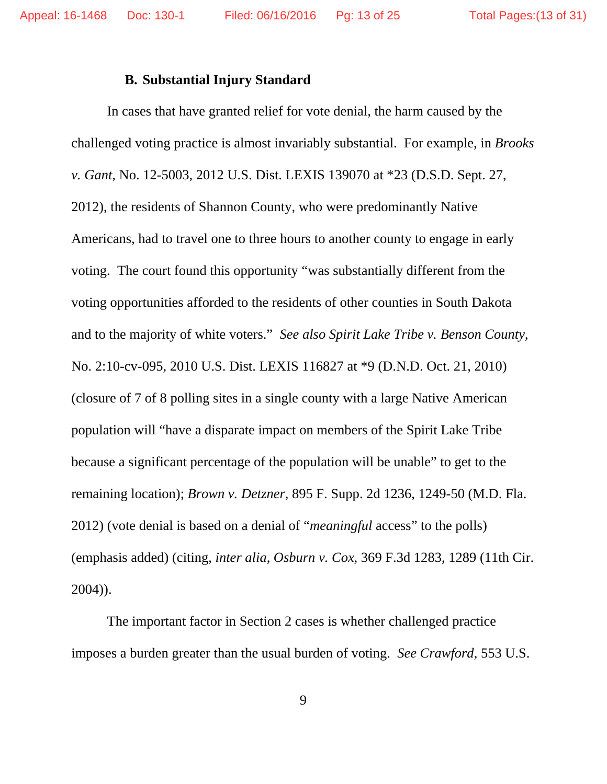### **B. Substantial Injury Standard**

 In cases that have granted relief for vote denial, the harm caused by the challenged voting practice is almost invariably substantial. For example, in *Brooks v. Gant*, No. 12-5003, 2012 U.S. Dist. LEXIS 139070 at \*23 (D.S.D. Sept. 27, 2012), the residents of Shannon County, who were predominantly Native Americans, had to travel one to three hours to another county to engage in early voting. The court found this opportunity "was substantially different from the voting opportunities afforded to the residents of other counties in South Dakota and to the majority of white voters." *See also Spirit Lake Tribe v. Benson County*, No. 2:10-cv-095, 2010 U.S. Dist. LEXIS 116827 at \*9 (D.N.D. Oct. 21, 2010) (closure of 7 of 8 polling sites in a single county with a large Native American population will "have a disparate impact on members of the Spirit Lake Tribe because a significant percentage of the population will be unable" to get to the remaining location); *Brown v. Detzner*, 895 F. Supp. 2d 1236, 1249-50 (M.D. Fla. 2012) (vote denial is based on a denial of "*meaningful* access" to the polls) (emphasis added) (citing, *inter alia*, *Osburn v. Cox*, 369 F.3d 1283, 1289 (11th Cir. 2004)).

 The important factor in Section 2 cases is whether challenged practice imposes a burden greater than the usual burden of voting. *See Crawford*, 553 U.S.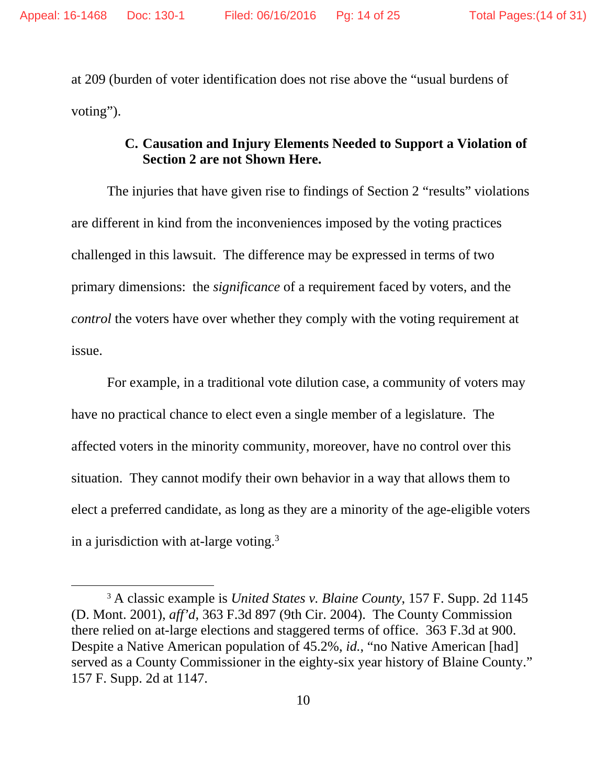at 209 (burden of voter identification does not rise above the "usual burdens of voting").

## **C. Causation and Injury Elements Needed to Support a Violation of Section 2 are not Shown Here.**

 The injuries that have given rise to findings of Section 2 "results" violations are different in kind from the inconveniences imposed by the voting practices challenged in this lawsuit. The difference may be expressed in terms of two primary dimensions: the *significance* of a requirement faced by voters, and the *control* the voters have over whether they comply with the voting requirement at issue.

 For example, in a traditional vote dilution case, a community of voters may have no practical chance to elect even a single member of a legislature. The affected voters in the minority community, moreover, have no control over this situation. They cannot modify their own behavior in a way that allows them to elect a preferred candidate, as long as they are a minority of the age-eligible voters in a jurisdiction with at-large voting. $3$ 

 

<sup>3</sup> A classic example is *United States v. Blaine County*, 157 F. Supp. 2d 1145 (D. Mont. 2001), *aff'd*, 363 F.3d 897 (9th Cir. 2004). The County Commission there relied on at-large elections and staggered terms of office. 363 F.3d at 900. Despite a Native American population of 45.2%, *id.*, "no Native American [had] served as a County Commissioner in the eighty-six year history of Blaine County." 157 F. Supp. 2d at 1147.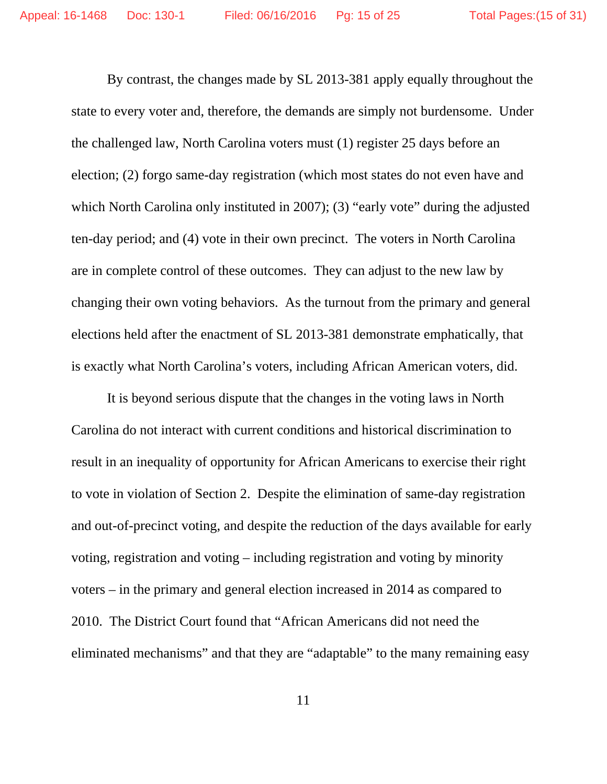By contrast, the changes made by SL 2013-381 apply equally throughout the state to every voter and, therefore, the demands are simply not burdensome. Under the challenged law, North Carolina voters must (1) register 25 days before an election; (2) forgo same-day registration (which most states do not even have and which North Carolina only instituted in 2007); (3) "early vote" during the adjusted ten-day period; and (4) vote in their own precinct. The voters in North Carolina are in complete control of these outcomes. They can adjust to the new law by changing their own voting behaviors. As the turnout from the primary and general elections held after the enactment of SL 2013-381 demonstrate emphatically, that is exactly what North Carolina's voters, including African American voters, did.

 It is beyond serious dispute that the changes in the voting laws in North Carolina do not interact with current conditions and historical discrimination to result in an inequality of opportunity for African Americans to exercise their right to vote in violation of Section 2. Despite the elimination of same-day registration and out-of-precinct voting, and despite the reduction of the days available for early voting, registration and voting – including registration and voting by minority voters – in the primary and general election increased in 2014 as compared to 2010. The District Court found that "African Americans did not need the eliminated mechanisms" and that they are "adaptable" to the many remaining easy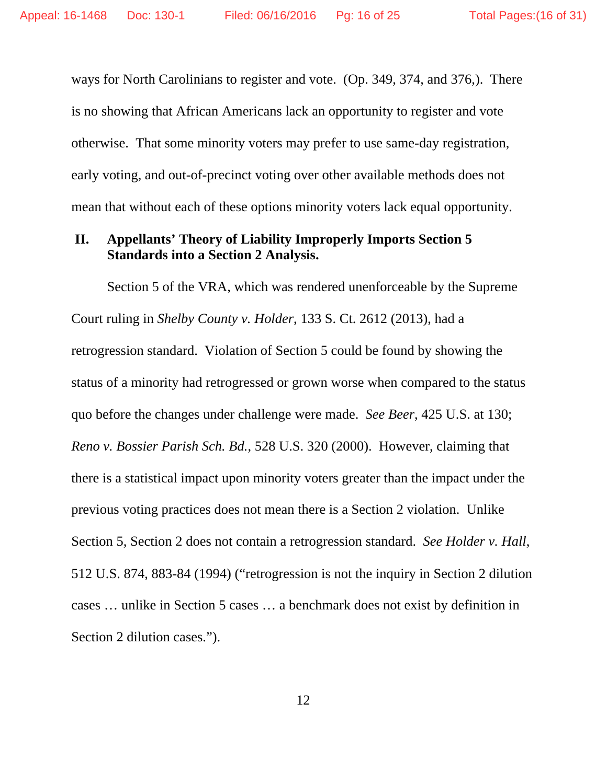ways for North Carolinians to register and vote. (Op. 349, 374, and 376,). There is no showing that African Americans lack an opportunity to register and vote otherwise. That some minority voters may prefer to use same-day registration, early voting, and out-of-precinct voting over other available methods does not mean that without each of these options minority voters lack equal opportunity.

### **II. Appellants' Theory of Liability Improperly Imports Section 5 Standards into a Section 2 Analysis.**

 Section 5 of the VRA, which was rendered unenforceable by the Supreme Court ruling in *Shelby County v. Holder*, 133 S. Ct. 2612 (2013), had a retrogression standard. Violation of Section 5 could be found by showing the status of a minority had retrogressed or grown worse when compared to the status quo before the changes under challenge were made. *See Beer*, 425 U.S. at 130; *Reno v. Bossier Parish Sch. Bd.*, 528 U.S. 320 (2000). However, claiming that there is a statistical impact upon minority voters greater than the impact under the previous voting practices does not mean there is a Section 2 violation. Unlike Section 5, Section 2 does not contain a retrogression standard. *See Holder v. Hall*, 512 U.S. 874, 883-84 (1994) ("retrogression is not the inquiry in Section 2 dilution cases … unlike in Section 5 cases … a benchmark does not exist by definition in Section 2 dilution cases.").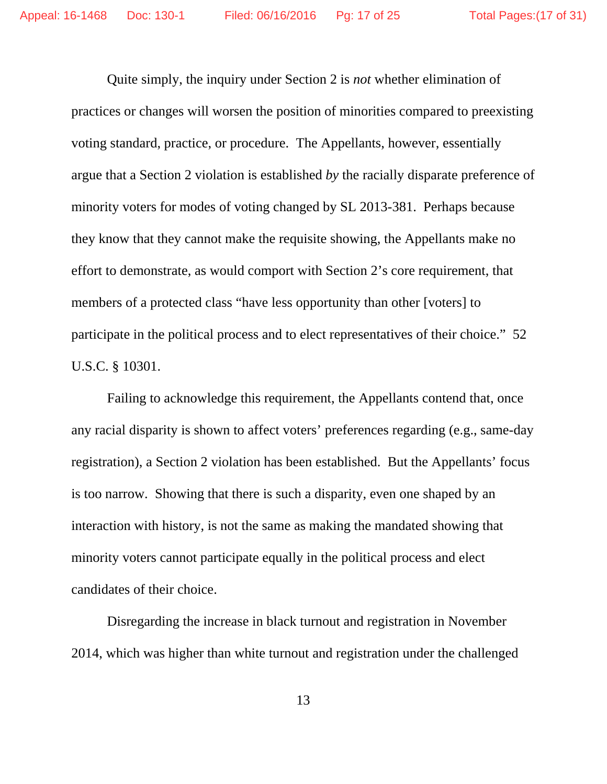Quite simply, the inquiry under Section 2 is *not* whether elimination of practices or changes will worsen the position of minorities compared to preexisting voting standard, practice, or procedure. The Appellants, however, essentially argue that a Section 2 violation is established *by* the racially disparate preference of minority voters for modes of voting changed by SL 2013-381. Perhaps because they know that they cannot make the requisite showing, the Appellants make no effort to demonstrate, as would comport with Section 2's core requirement, that members of a protected class "have less opportunity than other [voters] to participate in the political process and to elect representatives of their choice." 52 U.S.C. § 10301.

 Failing to acknowledge this requirement, the Appellants contend that, once any racial disparity is shown to affect voters' preferences regarding (e.g., same-day registration), a Section 2 violation has been established. But the Appellants' focus is too narrow. Showing that there is such a disparity, even one shaped by an interaction with history, is not the same as making the mandated showing that minority voters cannot participate equally in the political process and elect candidates of their choice.

 Disregarding the increase in black turnout and registration in November 2014, which was higher than white turnout and registration under the challenged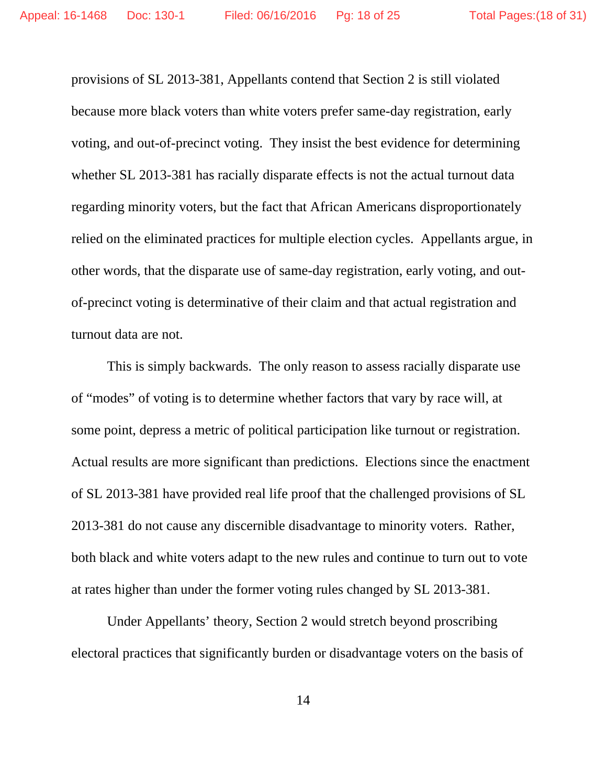provisions of SL 2013-381, Appellants contend that Section 2 is still violated because more black voters than white voters prefer same-day registration, early voting, and out-of-precinct voting. They insist the best evidence for determining whether SL 2013-381 has racially disparate effects is not the actual turnout data regarding minority voters, but the fact that African Americans disproportionately relied on the eliminated practices for multiple election cycles. Appellants argue, in other words, that the disparate use of same-day registration, early voting, and outof-precinct voting is determinative of their claim and that actual registration and turnout data are not.

 This is simply backwards. The only reason to assess racially disparate use of "modes" of voting is to determine whether factors that vary by race will, at some point, depress a metric of political participation like turnout or registration. Actual results are more significant than predictions. Elections since the enactment of SL 2013-381 have provided real life proof that the challenged provisions of SL 2013-381 do not cause any discernible disadvantage to minority voters. Rather, both black and white voters adapt to the new rules and continue to turn out to vote at rates higher than under the former voting rules changed by SL 2013-381.

 Under Appellants' theory, Section 2 would stretch beyond proscribing electoral practices that significantly burden or disadvantage voters on the basis of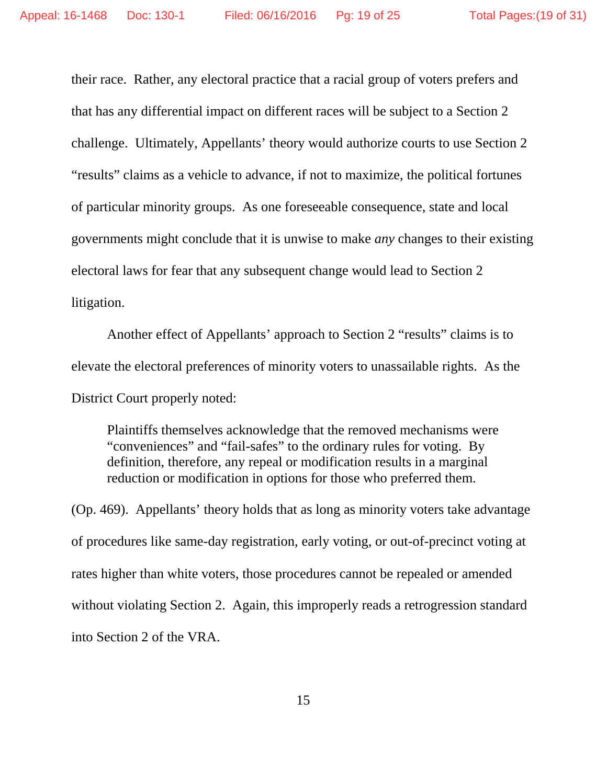their race. Rather, any electoral practice that a racial group of voters prefers and that has any differential impact on different races will be subject to a Section 2 challenge. Ultimately, Appellants' theory would authorize courts to use Section 2 "results" claims as a vehicle to advance, if not to maximize, the political fortunes of particular minority groups. As one foreseeable consequence, state and local governments might conclude that it is unwise to make *any* changes to their existing electoral laws for fear that any subsequent change would lead to Section 2 litigation.

 Another effect of Appellants' approach to Section 2 "results" claims is to elevate the electoral preferences of minority voters to unassailable rights. As the District Court properly noted:

Plaintiffs themselves acknowledge that the removed mechanisms were "conveniences" and "fail-safes" to the ordinary rules for voting. By definition, therefore, any repeal or modification results in a marginal reduction or modification in options for those who preferred them.

(Op. 469). Appellants' theory holds that as long as minority voters take advantage of procedures like same-day registration, early voting, or out-of-precinct voting at rates higher than white voters, those procedures cannot be repealed or amended without violating Section 2. Again, this improperly reads a retrogression standard into Section 2 of the VRA.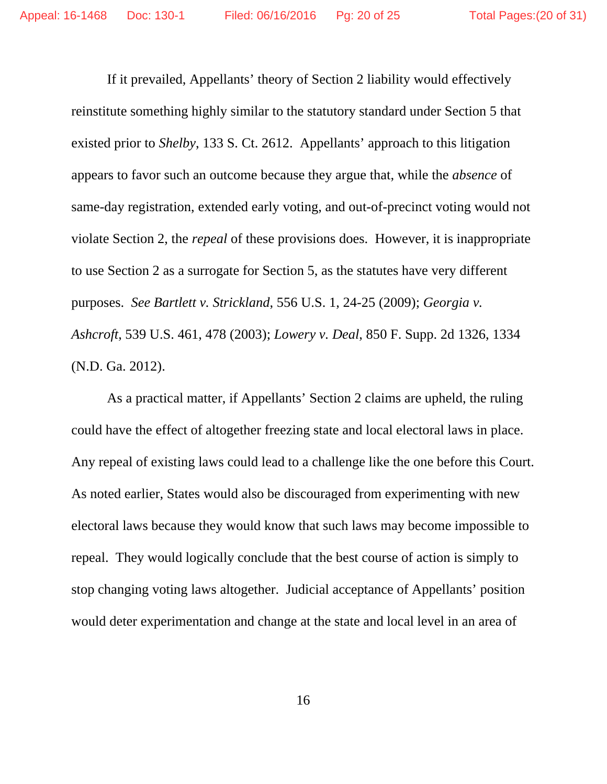If it prevailed, Appellants' theory of Section 2 liability would effectively reinstitute something highly similar to the statutory standard under Section 5 that existed prior to *Shelby*, 133 S. Ct. 2612. Appellants' approach to this litigation appears to favor such an outcome because they argue that, while the *absence* of same-day registration, extended early voting, and out-of-precinct voting would not violate Section 2, the *repeal* of these provisions does. However, it is inappropriate to use Section 2 as a surrogate for Section 5, as the statutes have very different purposes. *See Bartlett v. Strickland*, 556 U.S. 1, 24-25 (2009); *Georgia v. Ashcroft*, 539 U.S. 461, 478 (2003); *Lowery v. Deal*, 850 F. Supp. 2d 1326, 1334 (N.D. Ga. 2012).

 As a practical matter, if Appellants' Section 2 claims are upheld, the ruling could have the effect of altogether freezing state and local electoral laws in place. Any repeal of existing laws could lead to a challenge like the one before this Court. As noted earlier, States would also be discouraged from experimenting with new electoral laws because they would know that such laws may become impossible to repeal. They would logically conclude that the best course of action is simply to stop changing voting laws altogether. Judicial acceptance of Appellants' position would deter experimentation and change at the state and local level in an area of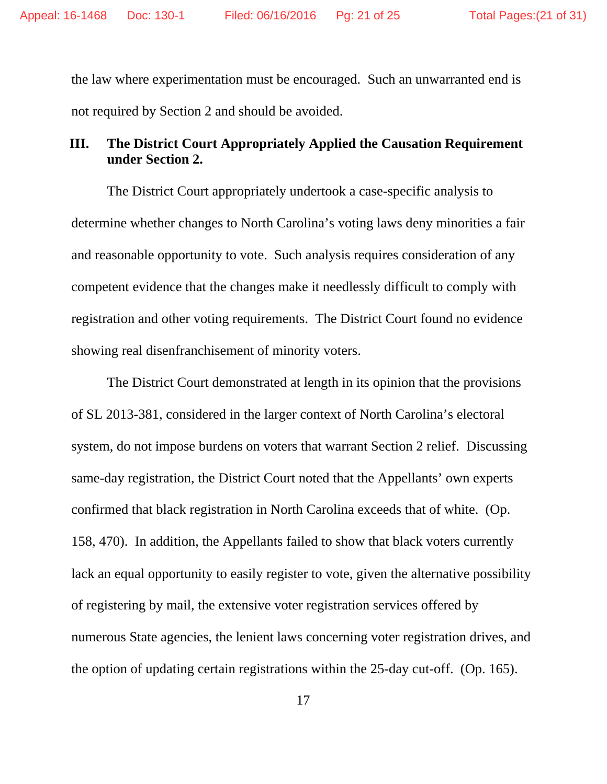the law where experimentation must be encouraged. Such an unwarranted end is not required by Section 2 and should be avoided.

## **III. The District Court Appropriately Applied the Causation Requirement under Section 2.**

 The District Court appropriately undertook a case-specific analysis to determine whether changes to North Carolina's voting laws deny minorities a fair and reasonable opportunity to vote. Such analysis requires consideration of any competent evidence that the changes make it needlessly difficult to comply with registration and other voting requirements. The District Court found no evidence showing real disenfranchisement of minority voters.

 The District Court demonstrated at length in its opinion that the provisions of SL 2013-381, considered in the larger context of North Carolina's electoral system, do not impose burdens on voters that warrant Section 2 relief. Discussing same-day registration, the District Court noted that the Appellants' own experts confirmed that black registration in North Carolina exceeds that of white. (Op. 158, 470). In addition, the Appellants failed to show that black voters currently lack an equal opportunity to easily register to vote, given the alternative possibility of registering by mail, the extensive voter registration services offered by numerous State agencies, the lenient laws concerning voter registration drives, and the option of updating certain registrations within the 25-day cut-off. (Op. 165).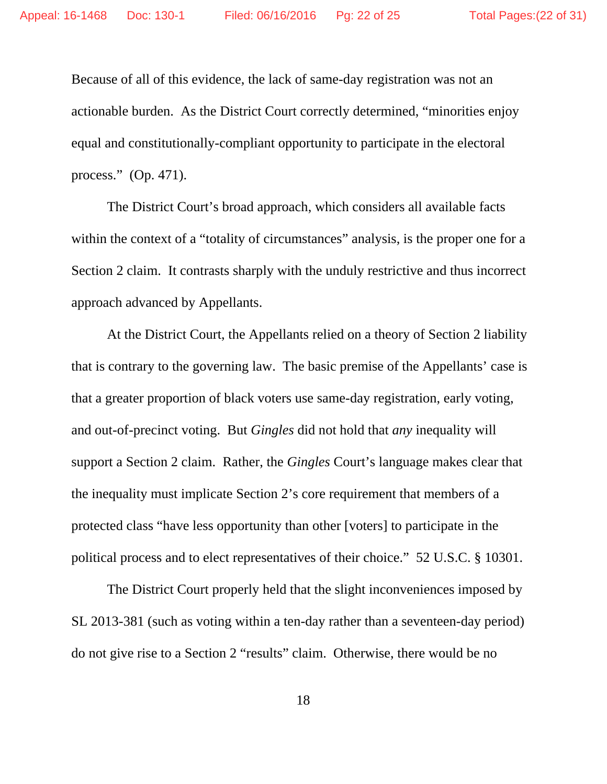Because of all of this evidence, the lack of same-day registration was not an actionable burden. As the District Court correctly determined, "minorities enjoy equal and constitutionally-compliant opportunity to participate in the electoral process." (Op. 471).

 The District Court's broad approach, which considers all available facts within the context of a "totality of circumstances" analysis, is the proper one for a Section 2 claim. It contrasts sharply with the unduly restrictive and thus incorrect approach advanced by Appellants.

 At the District Court, the Appellants relied on a theory of Section 2 liability that is contrary to the governing law. The basic premise of the Appellants' case is that a greater proportion of black voters use same-day registration, early voting, and out-of-precinct voting. But *Gingles* did not hold that *any* inequality will support a Section 2 claim. Rather, the *Gingles* Court's language makes clear that the inequality must implicate Section 2's core requirement that members of a protected class "have less opportunity than other [voters] to participate in the political process and to elect representatives of their choice." 52 U.S.C. § 10301.

 The District Court properly held that the slight inconveniences imposed by SL 2013-381 (such as voting within a ten-day rather than a seventeen-day period) do not give rise to a Section 2 "results" claim. Otherwise, there would be no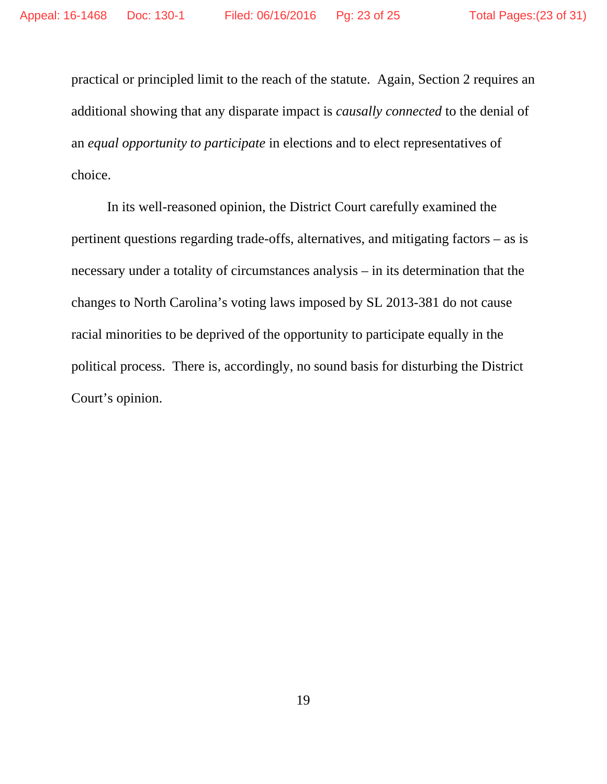practical or principled limit to the reach of the statute. Again, Section 2 requires an additional showing that any disparate impact is *causally connected* to the denial of an *equal opportunity to participate* in elections and to elect representatives of choice.

 In its well-reasoned opinion, the District Court carefully examined the pertinent questions regarding trade-offs, alternatives, and mitigating factors – as is necessary under a totality of circumstances analysis – in its determination that the changes to North Carolina's voting laws imposed by SL 2013-381 do not cause racial minorities to be deprived of the opportunity to participate equally in the political process. There is, accordingly, no sound basis for disturbing the District Court's opinion.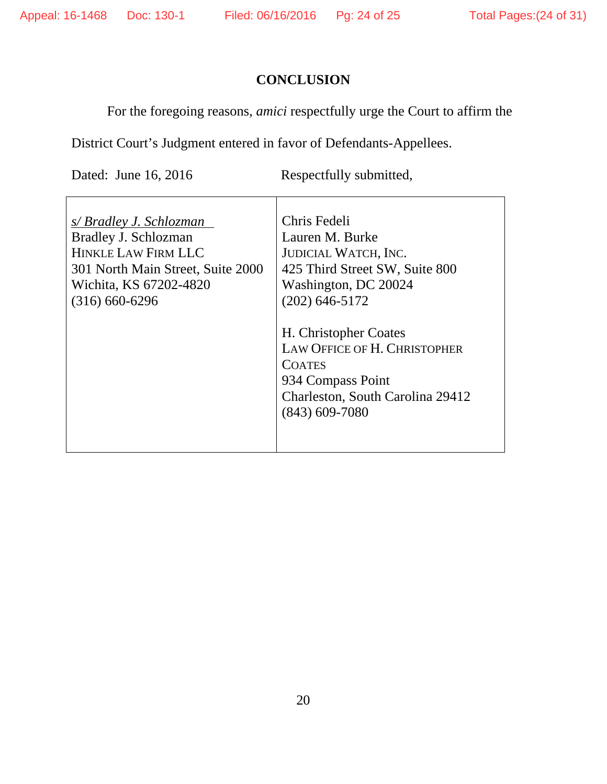# **CONCLUSION**

For the foregoing reasons, *amici* respectfully urge the Court to affirm the

District Court's Judgment entered in favor of Defendants-Appellees.

Dated: June 16, 2016 Respectfully submitted,

| s/Bradley J. Schlozman            | Chris Fedeli                        |
|-----------------------------------|-------------------------------------|
| Bradley J. Schlozman              | Lauren M. Burke                     |
| <b>HINKLE LAW FIRM LLC</b>        | <b>JUDICIAL WATCH, INC.</b>         |
| 301 North Main Street, Suite 2000 | 425 Third Street SW, Suite 800      |
| Wichita, KS 67202-4820            | Washington, DC 20024                |
| $(316)$ 660-6296                  | $(202)$ 646-5172                    |
|                                   |                                     |
|                                   | H. Christopher Coates               |
|                                   | <b>LAW OFFICE OF H. CHRISTOPHER</b> |
|                                   | <b>COATES</b>                       |
|                                   | 934 Compass Point                   |
|                                   | Charleston, South Carolina 29412    |
|                                   | $(843)$ 609-7080                    |
|                                   |                                     |
|                                   |                                     |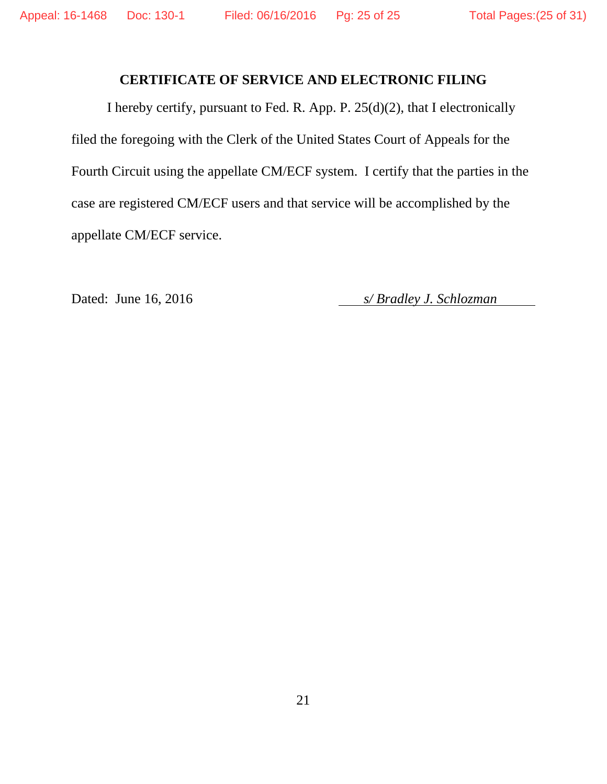## **CERTIFICATE OF SERVICE AND ELECTRONIC FILING**

I hereby certify, pursuant to Fed. R. App. P. 25(d)(2), that I electronically filed the foregoing with the Clerk of the United States Court of Appeals for the Fourth Circuit using the appellate CM/ECF system. I certify that the parties in the case are registered CM/ECF users and that service will be accomplished by the appellate CM/ECF service.

Dated: June 16, 2016 *s/ Bradley J. Schlozman*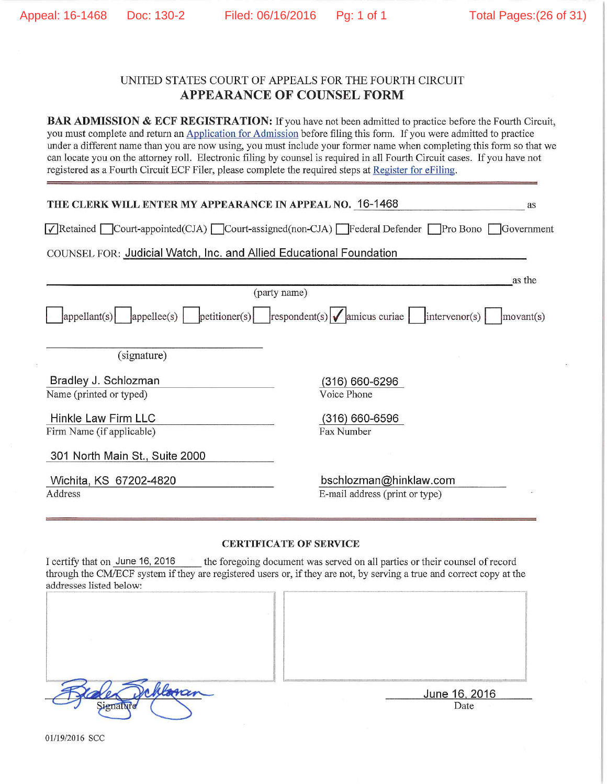as

### UNITED STATES COURT OF APPEALS FOR THE FOURTH CIRCUIT **APPEARANCE OF COUNSEL FORM**

**BAR ADMISSION & ECF REGISTRATION:** If you have not been admitted to practice before the Fourth Circuit. you must complete and return an Application for Admission before filing this form. If you were admitted to practice under a different name than you are now using, you must include your former name when completing this form so that we can locate you on the attorney roll. Electronic filing by counsel is required in all Fourth Circuit cases. If you have not registered as a Fourth Circuit ECF Filer, please complete the required steps at Register for eFiling.

#### THE CLERK WILL ENTER MY APPEARANCE IN APPEAL NO. 16-1468

√Retained Court-appointed(CJA) Court-assigned(non-CJA) Federal Defender Pro Bono Government

COUNSEL FOR: Judicial Watch, Inc. and Allied Educational Foundation

|                                                                                                                         | as the<br>(party name)                   |
|-------------------------------------------------------------------------------------------------------------------------|------------------------------------------|
|                                                                                                                         |                                          |
| $\vert$ appellant(s) $\vert$ appellee(s) $\vert$ petitioner(s) $\vert$ respondent(s) $\vert \sqrt{\vert}$ amicus curiae | $\frac{1}{2}$ intervenor(s)<br>movant(s) |
| (signature)                                                                                                             |                                          |
| Bradley J. Schlozman                                                                                                    | (316) 660-6296                           |
| Name (printed or typed)                                                                                                 | Voice Phone                              |
| Hinkle Law Firm LLC<br>Firm Name (if applicable)                                                                        | (316) 660-6596<br>Fax Number             |
| 301 North Main St., Suite 2000                                                                                          |                                          |
| Wichita, KS 67202-4820                                                                                                  | bschlozman@hinklaw.com                   |
| Address                                                                                                                 | E-mail address (print or type)           |
|                                                                                                                         |                                          |

#### **CERTIFICATE OF SERVICE**

I certify that on June 16, 2016 the foregoing document was served on all parties or their counsel of record through the CM/ECF system if they are registered users or, if they are not, by serving a true and correct copy at the addresses listed below:

| Signature |
|-----------|

June 16, 2016 Date

01/19/2016 SCC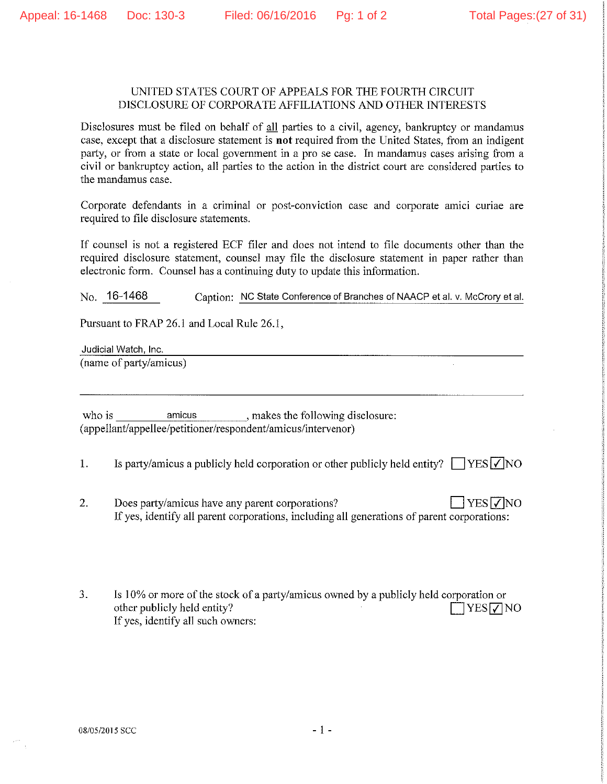### UNITED STATES COURT OF APPEALS FOR THE FOURTH CIRCUIT DISCLOSURE OF CORPORATE AFFILIATIONS AND OTHER INTERESTS

Disclosures must be filed on behalf of all parties to a civil, agency, bankruptcy or mandamus case, except that a disclosure statement is not required from the United States, from an indigent party, or from a state or local government in a pro se case. In mandamus cases arising from a civil or bankruptcy action, all parties to the action in the district court are considered parties to the mandamus case.

Corporate defendants in a criminal or post-conviction case and corporate amici curiae are required to file disclosure statements.

If counsel is not a registered ECF filer and does not intend to file documents other than the required disclosure statement, counsel may file the disclosure statement in paper rather than electronic form. Counsel has a continuing duty to update this information.

No. 16-1468 Caption: NC State Conference of Branches of NAACP et al. v. McCrory et al.

Pursuant to FRAP 26.1 and Local Rule 26.1.

Judicial Watch, Inc.

(name of party/amicus)

who is amicus, makes the following disclosure: (appellant/appellee/petitioner/respondent/amicus/intervenor)

- $1.$ Is party/amicus a publicly held corporation or other publicly held entity?  $\Box$  YES  $\Box$  NO
- $2.$ Does party/amicus have any parent corporations?  $\exists$  YES  $\nabla$  NO If yes, identify all parent corporations, including all generations of parent corporations:
- $3.$ Is 10% or more of the stock of a party/amicus owned by a publicly held corporation or other publicly held entity?  $T$ YES $\nabla$ NO If yes, identify all such owners: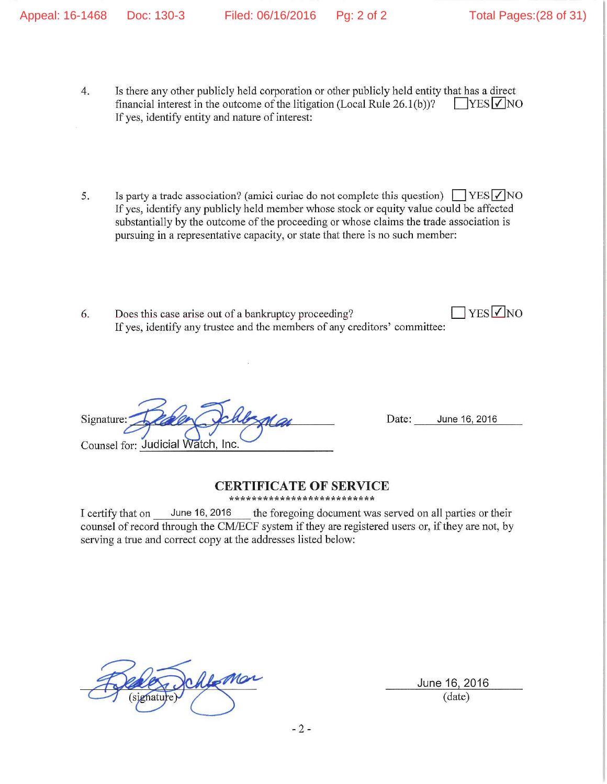- Is there any other publicly held corporation or other publicly held entity that has a direct  $4.$ financial interest in the outcome of the litigation (Local Rule  $26.1(b)$ )?  $\Box$ YES  $\lor$  NO If yes, identify entity and nature of interest:
- 5. Is party a trade association? (amici curiae do not complete this question)  $\Box$  YES  $\Box$  NO If yes, identify any publicly held member whose stock or equity value could be affected substantially by the outcome of the proceeding or whose claims the trade association is pursuing in a representative capacity, or state that there is no such member:
- $\Box$ YES V NO Does this case arise out of a bankruptcy proceeding? 6. If yes, identify any trustee and the members of any creditors' committee:

Signature: Counsel for: Judicial Watch, Inc.

June 16, 2016 Date:

### **CERTIFICATE OF SERVICE**

\*\*\*\*\*\*\*\*\*\*\*\*\*\*\*\*\*\*\*\*\*\*\*\*\*\*

I certify that on June 16, 2016 the foregoing document was served on all parties or their counsel of record through the CM/ECF system if they are registered users or, if they are not, by serving a true and correct copy at the addresses listed below:

June 16, 2016 (date)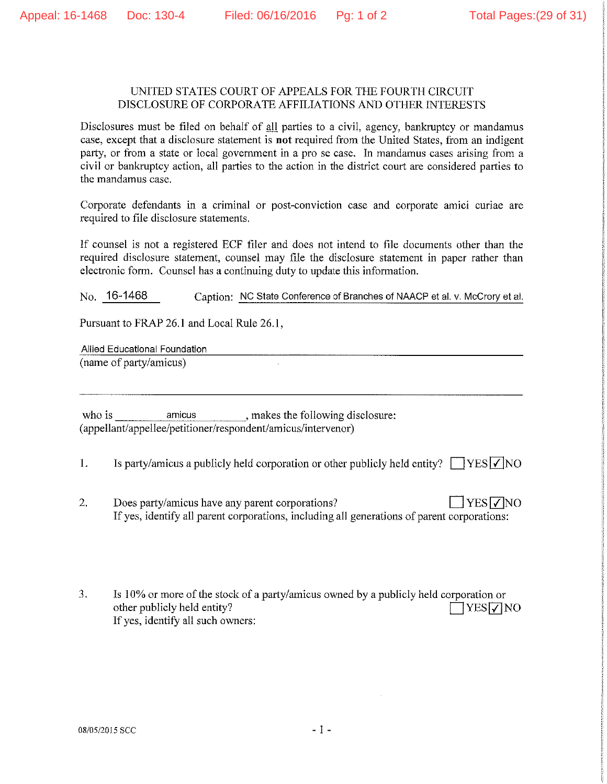### UNITED STATES COURT OF APPEALS FOR THE FOURTH CIRCUIT DISCLOSURE OF CORPORATE AFFILIATIONS AND OTHER INTERESTS

Disclosures must be filed on behalf of all parties to a civil, agency, bankruptcy or mandamus case, except that a disclosure statement is not required from the United States, from an indigent party, or from a state or local government in a pro se case. In mandamus cases arising from a civil or bankruptcy action, all parties to the action in the district court are considered parties to the mandamus case.

Corporate defendants in a criminal or post-conviction case and corporate amici curiae are required to file disclosure statements.

If counsel is not a registered ECF filer and does not intend to file documents other than the required disclosure statement, counsel may file the disclosure statement in paper rather than electronic form. Counsel has a continuing duty to update this information.

 $No.$  16-1468 Caption: NC State Conference of Branches of NAACP et al. v. McCrory et al.

Pursuant to FRAP 26.1 and Local Rule 26.1,

Allied Educational Foundation (name of party/amicus)

who is amicus, makes the following disclosure: (appellant/appellee/petitioner/respondent/amicus/intervenor)

- $1.$ Is party/amicus a publicly held corporation or other publicly held entity?  $\Box$  YES  $\Box$  NO
- $2.$  $\exists$  YES  $\neg$  NO Does party/amicus have any parent corporations? If yes, identify all parent corporations, including all generations of parent corporations:
- 3. Is 10% or more of the stock of a party/amicus owned by a publicly held corporation or other publicly held entity?  $7YES$   $\sqrt{7}NO$ If yes, identify all such owners: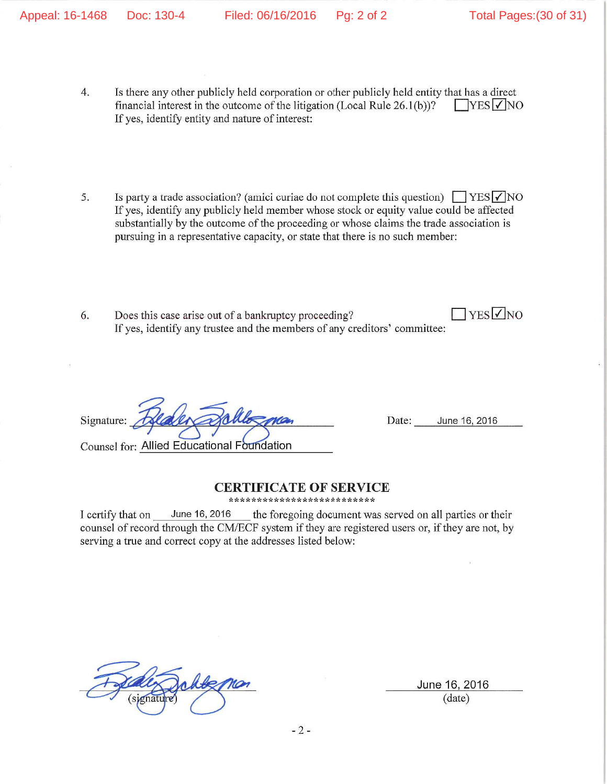- Is there any other publicly held corporation or other publicly held entity that has a direct  $4.$ financial interest in the outcome of the litigation (Local Rule  $26.1(b)$ )?  $T<sub>YES</sub>  $\sqrt{}$  NO$ If yes, identify entity and nature of interest:
- Is party a trade association? (amici curiae do not complete this question)  $\Box$  YES  $\Box$  NO 5. If yes, identify any publicly held member whose stock or equity value could be affected substantially by the outcome of the proceeding or whose claims the trade association is pursuing in a representative capacity, or state that there is no such member:
- $7$ YES $\nabla$ NO 6. Does this case arise out of a bankruptcy proceeding? If yes, identify any trustee and the members of any creditors' committee:

Signature: **Counsel for: Allied Educational Foundation** 

June 16, 2016 Date:

### **CERTIFICATE OF SERVICE**

\*\*\*\*\*\*\*\*\*\*\*\*\*\*\*\*\*\*\*\*\*\*\*\*\*\*

I certify that on June 16, 2016 the foregoing document was served on all parties or their counsel of record through the CM/ECF system if they are registered users or, if they are not, by serving a true and correct copy at the addresses listed below:

June 16, 2016  $(data)$